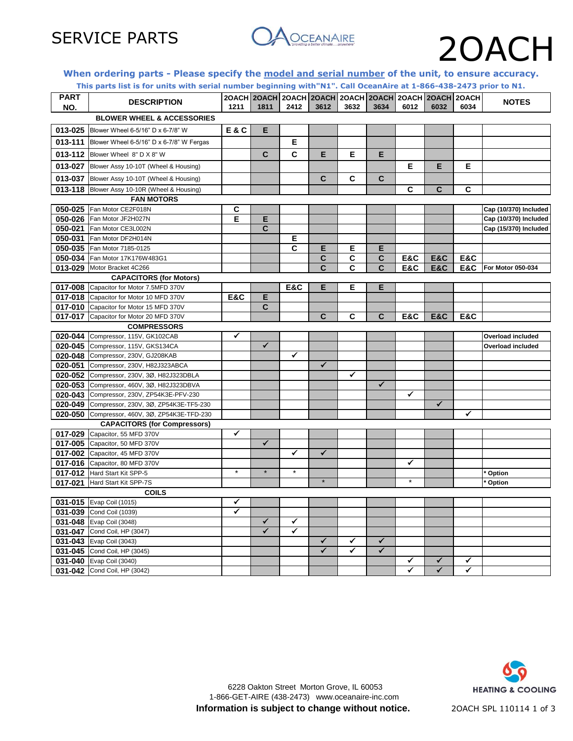

### **When ordering parts - Please specify the model and serial number of the unit, to ensure accuracy.**

|                                       | This parts list is for units with serial number beginning with"N1". Call OceanAire at 1-866-438-2473 prior to N1. |                |                                                                     |              |                              |      |                              |              |                |      |                          |
|---------------------------------------|-------------------------------------------------------------------------------------------------------------------|----------------|---------------------------------------------------------------------|--------------|------------------------------|------|------------------------------|--------------|----------------|------|--------------------------|
| <b>PART</b><br>NO.                    | <b>DESCRIPTION</b>                                                                                                | 1211           | 20ACH 20ACH 20ACH 20ACH 20ACH 20ACH 20ACH 20ACH 20ACH 20ACH<br>1811 | 2412         | 3612                         | 3632 | 3634                         | 6012         | 6032           | 6034 | <b>NOTES</b>             |
| <b>BLOWER WHEEL &amp; ACCESSORIES</b> |                                                                                                                   |                |                                                                     |              |                              |      |                              |              |                |      |                          |
|                                       | 013-025 Blower Wheel 6-5/16" D x 6-7/8" W                                                                         | <b>E&amp;C</b> | Е                                                                   |              |                              |      |                              |              |                |      |                          |
|                                       | 013-111 Blower Wheel 6-5/16" D x 6-7/8" W Fergas                                                                  |                |                                                                     | Е            |                              |      |                              |              |                |      |                          |
|                                       | 013-112 Blower Wheel 8" D X 8" W                                                                                  |                | $\mathbf{C}$                                                        | C            | E                            | Е    | E                            |              |                |      |                          |
|                                       | 013-027 Blower Assy 10-10T (Wheel & Housing)                                                                      |                |                                                                     |              |                              |      |                              | E            | Е              | Е    |                          |
|                                       | 013-037 Blower Assy 10-10T (Wheel & Housing)                                                                      |                |                                                                     |              | C                            | C    | C                            |              |                |      |                          |
|                                       | 013-118 Blower Assy 10-10R (Wheel & Housing)                                                                      |                |                                                                     |              |                              |      |                              | C            | C              | C    |                          |
|                                       | <b>FAN MOTORS</b>                                                                                                 |                |                                                                     |              |                              |      |                              |              |                |      |                          |
|                                       | 050-025 Fan Motor CE2F018N                                                                                        | C              |                                                                     |              |                              |      |                              |              |                |      | Cap (10/370) Included    |
|                                       |                                                                                                                   | Е              | Е                                                                   |              |                              |      |                              |              |                |      |                          |
|                                       | 050-026 Fan Motor JF2H027N                                                                                        |                |                                                                     |              |                              |      |                              |              |                |      | Cap (10/370) Included    |
|                                       | 050-021 Fan Motor CE3L002N                                                                                        |                | C                                                                   |              |                              |      |                              |              |                |      | Cap (15/370) Included    |
|                                       | 050-031 Fan Motor DF2H014N                                                                                        |                |                                                                     | Е            |                              |      |                              |              |                |      |                          |
|                                       | 050-035 Fan Motor 7185-0125                                                                                       |                |                                                                     | C            | Е                            | Е    | Е                            |              |                |      |                          |
|                                       | 050-034 Fan Motor 17K176W483G1                                                                                    |                |                                                                     |              | C                            | C    | C                            | E&C          | <b>E&amp;C</b> | E&C  |                          |
|                                       | 013-029 Motor Bracket 4C266                                                                                       |                |                                                                     |              | C                            | C    | C                            | E&C          | <b>E&amp;C</b> | E&C  | For Motor 050-034        |
|                                       | <b>CAPACITORS (for Motors)</b>                                                                                    |                |                                                                     |              |                              |      |                              |              |                |      |                          |
|                                       | 017-008 Capacitor for Motor 7.5MFD 370V                                                                           |                |                                                                     | E&C          | Е                            | E    | Е                            |              |                |      |                          |
|                                       | 017-018 Capacitor for Motor 10 MFD 370V                                                                           | E&C            | E                                                                   |              |                              |      |                              |              |                |      |                          |
|                                       | 017-010 Capacitor for Motor 15 MFD 370V                                                                           |                | C                                                                   |              |                              |      |                              |              |                |      |                          |
|                                       | 017-017 Capacitor for Motor 20 MFD 370V                                                                           |                |                                                                     |              | C                            | C    | C                            | E&C          | <b>E&amp;C</b> | E&C  |                          |
|                                       | <b>COMPRESSORS</b>                                                                                                |                |                                                                     |              |                              |      |                              |              |                |      |                          |
|                                       | 020-044 Compressor, 115V, GK102CAB                                                                                | ✓              |                                                                     |              |                              |      |                              |              |                |      | <b>Overload included</b> |
|                                       | 020-045 Compressor, 115V, GKS134CA                                                                                |                | ✓                                                                   |              |                              |      |                              |              |                |      | Overload included        |
|                                       | 020-048 Compressor, 230V, GJ208KAB                                                                                |                |                                                                     | ✔            |                              |      |                              |              |                |      |                          |
|                                       | 020-051 Compressor, 230V, H82J323ABCA                                                                             |                |                                                                     |              | ✓                            |      |                              |              |                |      |                          |
|                                       | 020-052 Compressor, 230V, 3Ø, H82J323DBLA                                                                         |                |                                                                     |              |                              | ✓    |                              |              |                |      |                          |
|                                       | 020-053 Compressor, 460V, 3Ø, H82J323DBVA                                                                         |                |                                                                     |              |                              |      | $\checkmark$                 |              |                |      |                          |
|                                       | 020-043 Compressor, 230V, ZP54K3E-PFV-230                                                                         |                |                                                                     |              |                              |      |                              | ✓            |                |      |                          |
|                                       | 020-049 Compressor, 230V, 3Ø, ZP54K3E-TF5-230                                                                     |                |                                                                     |              |                              |      |                              |              | ✓              |      |                          |
|                                       | 020-050 Compressor, 460V, 3Ø, ZP54K3E-TFD-230                                                                     |                |                                                                     |              |                              |      |                              |              |                | ✓    |                          |
|                                       | <b>CAPACITORS (for Compressors)</b>                                                                               |                |                                                                     |              |                              |      |                              |              |                |      |                          |
|                                       | 017-029 Capacitor, 55 MFD 370V                                                                                    | ✔              |                                                                     |              |                              |      |                              |              |                |      |                          |
|                                       | 017-005 Capacitor, 50 MFD 370V                                                                                    |                | ✓                                                                   |              |                              |      |                              |              |                |      |                          |
|                                       | 017-002 Capacitor, 45 MFD 370V                                                                                    |                |                                                                     | ✓            | ✓                            |      |                              |              |                |      |                          |
|                                       | 017-016 Capacitor, 80 MFD 370V                                                                                    |                |                                                                     |              |                              |      |                              | ✔            |                |      |                          |
|                                       | 017-012 Hard Start Kit SPP-5                                                                                      | $\star$        | $\star$                                                             | $\star$      |                              |      |                              |              |                |      | Option                   |
|                                       | 017-021 Hard Start Kit SPP-7S                                                                                     |                |                                                                     |              |                              |      |                              | $\star$      |                |      | Option                   |
|                                       | <b>COILS</b>                                                                                                      |                |                                                                     |              |                              |      |                              |              |                |      |                          |
|                                       |                                                                                                                   |                |                                                                     |              |                              |      |                              |              |                |      |                          |
|                                       | 031-015 Evap Coil (1015)                                                                                          | ✓              |                                                                     |              |                              |      |                              |              |                |      |                          |
|                                       | 031-039 Cond Coil (1039)                                                                                          |                | ✓                                                                   | ✓            |                              |      |                              |              |                |      |                          |
|                                       | 031-048 Evap Coil (3048)                                                                                          |                | $\checkmark$                                                        | $\checkmark$ |                              |      |                              |              |                |      |                          |
|                                       | 031-047 Cond Coil, HP (3047)                                                                                      |                |                                                                     |              |                              |      |                              |              |                |      |                          |
|                                       | 031-043 Evap Coil (3043)                                                                                          |                |                                                                     |              | $\checkmark$<br>$\checkmark$ | ✓    | $\checkmark$<br>$\checkmark$ |              |                |      |                          |
|                                       | 031-045 Cond Coil, HP (3045)                                                                                      |                |                                                                     |              |                              | ✓    |                              |              |                |      |                          |
|                                       | 031-040 Evap Coil (3040)                                                                                          |                |                                                                     |              |                              |      |                              | ✔            | ✓              | ✓    |                          |
|                                       | 031-042 Cond Coil, HP (3042)                                                                                      |                |                                                                     |              |                              |      |                              | $\checkmark$ | ✓              | ✓    |                          |

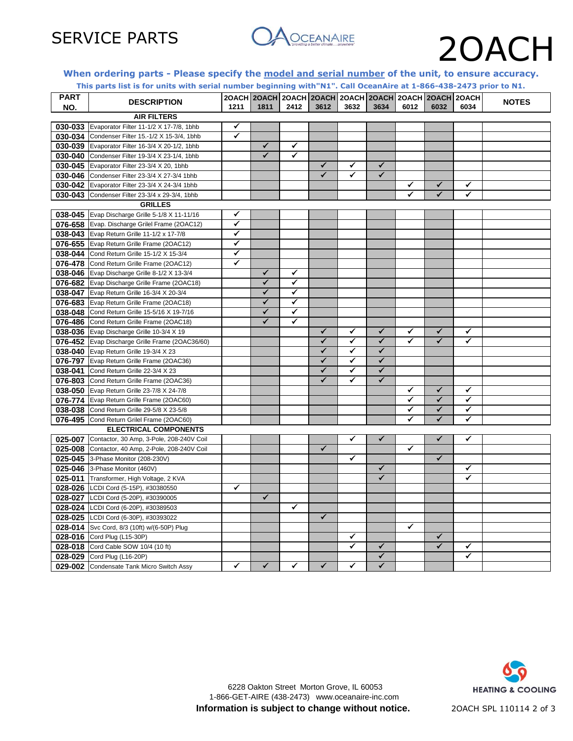

## SERVICE PARTS OAOCEANAIRE 20ACH

## **When ordering parts - Please specify the model and serial number of the unit, to ensure accuracy.**

|             | This parts list is for units with serial number beginning with"N1". Call OceanAire at 1-866-438-2473 prior to N1. |      |                                                             |              |              |              |              |      |                         |      |              |
|-------------|-------------------------------------------------------------------------------------------------------------------|------|-------------------------------------------------------------|--------------|--------------|--------------|--------------|------|-------------------------|------|--------------|
| <b>PART</b> | <b>DESCRIPTION</b>                                                                                                |      | 20ACH 20ACH 20ACH 20ACH 20ACH 20ACH 20ACH 20ACH 20ACH 20ACH |              |              |              |              |      |                         |      | <b>NOTES</b> |
| NO.         |                                                                                                                   | 1211 | 1811                                                        | 2412         | 3612         | 3632         | 3634         | 6012 | 6032                    | 6034 |              |
|             | <b>AIR FILTERS</b>                                                                                                |      |                                                             |              |              |              |              |      |                         |      |              |
| 030-033     | Evaporator Filter 11-1/2 X 17-7/8, 1bhb                                                                           | ✓    |                                                             |              |              |              |              |      |                         |      |              |
| 030-034     | Condenser Filter 15.-1/2 X 15-3/4, 1bhb                                                                           | ✓    |                                                             |              |              |              |              |      |                         |      |              |
| 030-039     | Evaporator Filter 16-3/4 X 20-1/2, 1bhb                                                                           |      | $\checkmark$                                                | $\checkmark$ |              |              |              |      |                         |      |              |
| 030-040     | Condenser Filter 19-3/4 X 23-1/4, 1bhb                                                                            |      | ✓                                                           | ✔            |              |              |              |      |                         |      |              |
|             | 030-045 Evaporator Filter 23-3/4 X 20, 1bhb                                                                       |      |                                                             |              | ✓            | ✓            | $\checkmark$ |      |                         |      |              |
| 030-046     | Condenser Filter 23-3/4 X 27-3/4 1bhb                                                                             |      |                                                             |              | $\checkmark$ |              | ✓            |      |                         |      |              |
|             | 030-042 Evaporator Filter 23-3/4 X 24-3/4 1bhb                                                                    |      |                                                             |              |              |              |              | ✔    | ✓                       | ✓    |              |
| 030-043     | Condenser Filter 23-3/4 x 29-3/4, 1bhb                                                                            |      |                                                             |              |              |              |              | ✔    | ✓                       | ✓    |              |
|             | <b>GRILLES</b>                                                                                                    |      |                                                             |              |              |              |              |      |                         |      |              |
|             | 038-045 Evap Discharge Grille 5-1/8 X 11-11/16                                                                    | ✓    |                                                             |              |              |              |              |      |                         |      |              |
|             | 076-658 Evap. Discharge Grilel Frame (20AC12)                                                                     | ✓    |                                                             |              |              |              |              |      |                         |      |              |
|             | 038-043 Evap Return Grille 11-1/2 x 17-7/8                                                                        | ✓    |                                                             |              |              |              |              |      |                         |      |              |
|             | 076-655 Evap Return Grille Frame (20AC12)                                                                         | ✓    |                                                             |              |              |              |              |      |                         |      |              |
| 038-044     | Cond Return Grille 15-1/2 X 15-3/4                                                                                | ✓    |                                                             |              |              |              |              |      |                         |      |              |
| 076-478     | Cond Return Grille Frame (20AC12)                                                                                 | ✔    |                                                             |              |              |              |              |      |                         |      |              |
| 038-046     | Evap Discharge Grille 8-1/2 X 13-3/4                                                                              |      | $\checkmark$                                                | ✓            |              |              |              |      |                         |      |              |
|             | 076-682 Evap Discharge Grille Frame (20AC18)                                                                      |      | $\checkmark$                                                | ✓            |              |              |              |      |                         |      |              |
| 038-047     | Evap Return Grille 16-3/4 X 20-3/4                                                                                |      | ✓                                                           | ✓            |              |              |              |      |                         |      |              |
| 076-683     | Evap Return Grille Frame (20AC18)                                                                                 |      | $\checkmark$                                                | ✓            |              |              |              |      |                         |      |              |
| 038-048     | Cond Return Grille 15-5/16 X 19-7/16                                                                              |      | $\checkmark$                                                | ✓            |              |              |              |      |                         |      |              |
| 076-486     | Cond Return Grille Frame (20AC18)                                                                                 |      | ✓                                                           | ✓            |              |              |              |      |                         |      |              |
| 038-036     | Evap Discharge Grille 10-3/4 X 19                                                                                 |      |                                                             |              | ✓            | ✔            | ✓            | ✓    | ✓                       | ✓    |              |
|             | 076-452 Evap Discharge Grille Frame (20AC36/60)                                                                   |      |                                                             |              | $\checkmark$ | $\checkmark$ | $\checkmark$ | ✓    | ✓                       | ✓    |              |
| 038-040     | Evap Return Grille 19-3/4 X 23                                                                                    |      |                                                             |              | $\checkmark$ | ✓            | ✓            |      |                         |      |              |
|             | 076-797 Evap Return Grille Frame (20AC36)                                                                         |      |                                                             |              | $\checkmark$ | $\checkmark$ | $\checkmark$ |      |                         |      |              |
| 038-041     | Cond Return Grille 22-3/4 X 23                                                                                    |      |                                                             |              | $\checkmark$ | ✓            | $\checkmark$ |      |                         |      |              |
| 076-803     | Cond Return Grille Frame (20AC36)                                                                                 |      |                                                             |              | $\checkmark$ | ✔            | ✓            |      |                         |      |              |
| 038-050     | Evap Return Grille 23-7/8 X 24-7/8                                                                                |      |                                                             |              |              |              |              | ✓    | $\overline{\checkmark}$ | ✓    |              |
|             | 076-774 Evap Return Grille Frame (20AC60)                                                                         |      |                                                             |              |              |              |              | ✓    | $\overline{\checkmark}$ | ✓    |              |
| 038-038     | Cond Return Grille 29-5/8 X 23-5/8                                                                                |      |                                                             |              |              |              |              | ✓    | ✓                       | ✓    |              |
|             | 076-495 Cond Return Grilel Frame (20AC60)                                                                         |      |                                                             |              |              |              |              | ✓    | ✓                       | ✓    |              |
|             | <b>ELECTRICAL COMPONENTS</b>                                                                                      |      |                                                             |              |              |              |              |      |                         |      |              |
| 025-007     | Contactor, 30 Amp, 3-Pole, 208-240V Coil                                                                          |      |                                                             |              |              | ✔            | $\checkmark$ |      | $\checkmark$            | ✔    |              |
| 025-008     | Contactor, 40 Amp, 2-Pole, 208-240V Coil                                                                          |      |                                                             |              | $\checkmark$ |              |              | ✓    |                         |      |              |
|             | 025-045 3-Phase Monitor (208-230V)                                                                                |      |                                                             |              |              | ✔            |              |      | $\overline{\checkmark}$ |      |              |
| 025-046     | 3-Phase Monitor (460V)                                                                                            |      |                                                             |              |              |              | $\checkmark$ |      |                         | ✓    |              |
|             | 025-011 Transformer, High Voltage, 2 KVA                                                                          |      |                                                             |              |              |              | ✓            |      |                         | ✔    |              |
| 028-026     | LCDI Cord (5-15P), #30380550                                                                                      | ✓    |                                                             |              |              |              |              |      |                         |      |              |
|             | 028-027 LCDI Cord (5-20P), #30390005                                                                              |      | $\overline{\checkmark}$                                     |              |              |              |              |      |                         |      |              |
| 028-024     | LCDI Cord (6-20P), #30389503                                                                                      |      |                                                             | ✓            |              |              |              |      |                         |      |              |
| 028-025     | LCDI Cord (6-30P), #30393022                                                                                      |      |                                                             |              | $\checkmark$ |              |              |      |                         |      |              |
|             | 028-014 Svc Cord, 8/3 (10ft) w/(6-50P) Plug                                                                       |      |                                                             |              |              |              |              | ✓    |                         |      |              |
|             | 028-016 Cord Plug (L15-30P)                                                                                       |      |                                                             |              |              | ✓            |              |      | $\checkmark$            |      |              |
| 028-018     | Cord Cable SOW 10/4 (10 ft)                                                                                       |      |                                                             |              |              | ✔            | ✓            |      | ✓                       | ✓    |              |
|             | 028-029 Cord Plug (L16-20P)                                                                                       |      |                                                             |              |              |              | $\checkmark$ |      |                         | ✓    |              |
|             | 029-002 Condensate Tank Micro Switch Assy                                                                         | ✓    | $\checkmark$                                                | ✓            | ✓            | ✔            | ✓            |      |                         |      |              |